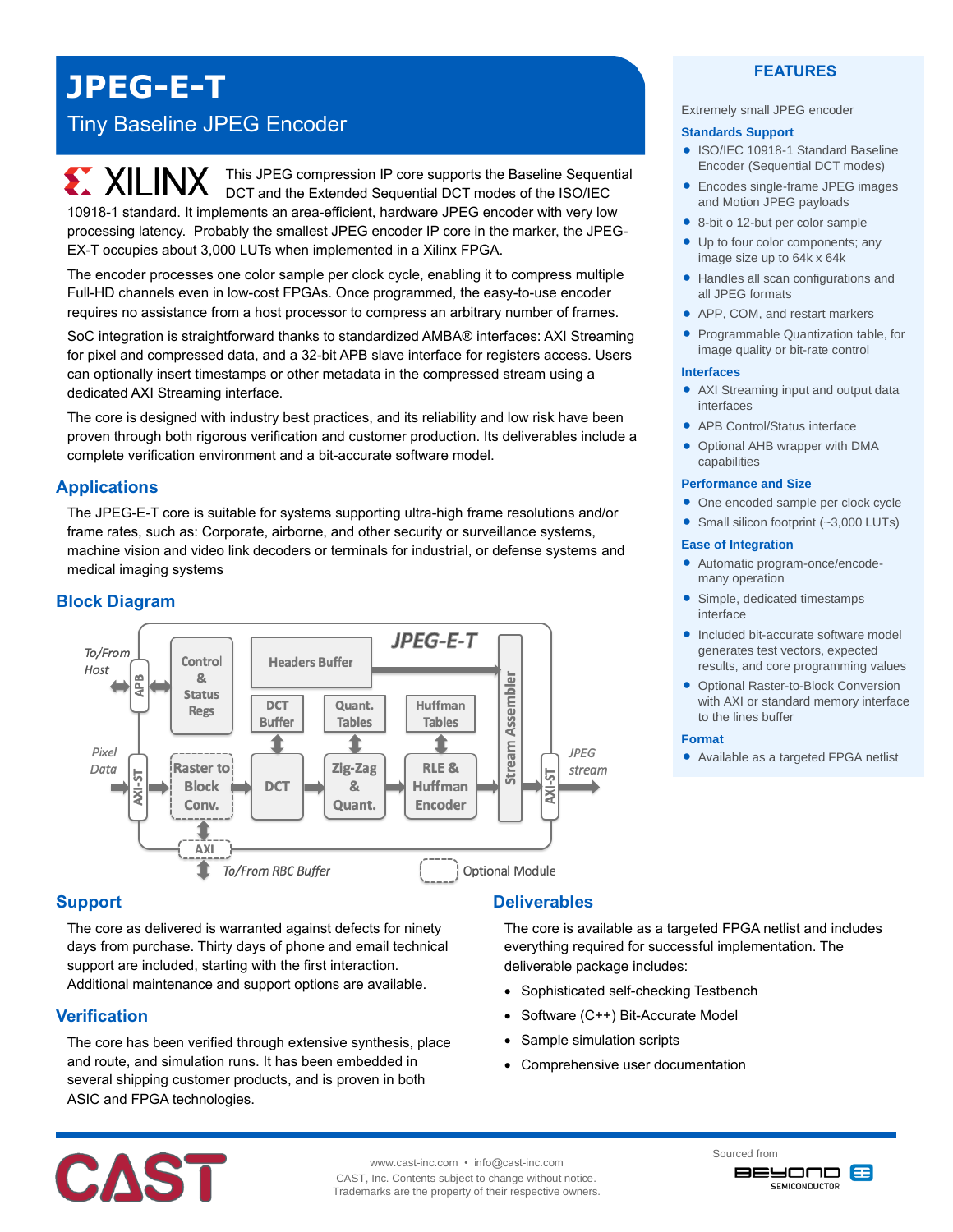**JPEG-E-T**

# Tiny Baseline JPEG Encoder

**EXILINX** This JPEG compression IP core supports the Baseline Sequential DCT and the Extended Sequential DCT modes of the ISO/IEC 10918-1 standard. It implements an area-efficient, hardware JPEG encoder with very low processing latency. Probably the smallest JPEG encoder IP core in the marker, the JPEG-EX-T occupies about 3,000 LUTs when implemented in a Xilinx FPGA.

The encoder processes one color sample per clock cycle, enabling it to compress multiple Full-HD channels even in low-cost FPGAs. Once programmed, the easy-to-use encoder requires no assistance from a host processor to compress an arbitrary number of frames.

SoC integration is straightforward thanks to standardized AMBA® interfaces: AXI Streaming for pixel and compressed data, and a 32-bit APB slave interface for registers access. Users can optionally insert timestamps or other metadata in the compressed stream using a dedicated AXI Streaming interface.

The core is designed with industry best practices, and its reliability and low risk have been proven through both rigorous verification and customer production. Its deliverables include a complete verification environment and a bit-accurate software model.

## **Applications**

The JPEG-E-T core is suitable for systems supporting ultra-high frame resolutions and/or frame rates, such as: Corporate, airborne, and other security or surveillance systems, machine vision and video link decoders or terminals for industrial, or defense systems and medical imaging systems

# **Block Diagram**



## **Support**

The core as delivered is warranted against defects for ninety days from purchase. Thirty days of phone and email technical support are included, starting with the first interaction. Additional maintenance and support options are available.

### **Verification**

The core has been verified through extensive synthesis, place and route, and simulation runs. It has been embedded in several shipping customer products, and is proven in both ASIC and FPGA technologies.

# **Deliverables**

The core is available as a targeted FPGA netlist and includes everything required for successful implementation. The deliverable package includes:

- Sophisticated self-checking Testbench
- Software (C++) Bit-Accurate Model
- Sample simulation scripts
- Comprehensive user documentation



#### Extremely small JPEG encoder

#### **Standards Support**

- ISO/IEC 10918-1 Standard Baseline Encoder (Sequential DCT modes)
- Encodes single-frame JPEG images and Motion JPEG payloads
- 8-bit o 12-but per color sample
- Up to four color components; any image size up to 64k x 64k
- Handles all scan configurations and all JPEG formats
- APP, COM, and restart markers
- Programmable Quantization table, for image quality or bit-rate control

### **Interfaces**

- AXI Streaming input and output data interfaces
- APB Control/Status interface
- Optional AHB wrapper with DMA capabilities

#### **Performance and Size**

- One encoded sample per clock cycle
- Small silicon footprint (~3,000 LUTs)

### **Ease of Integration**

- Automatic program-once/encodemany operation
- Simple, dedicated timestamps interface
- Included bit-accurate software model generates test vectors, expected results, and core programming values
- Optional Raster-to-Block Conversion with AXI or standard memory interface to the lines buffer

### **Format**

Available as a targeted FPGA netlist



www.cast-inc.com • info@cast-inc.com CAST, Inc. Contents subject to change without notice. Trademarks are the property of their respective owners. Sourced from **BEYOND 83** 

**SEMICONDUCTOR**